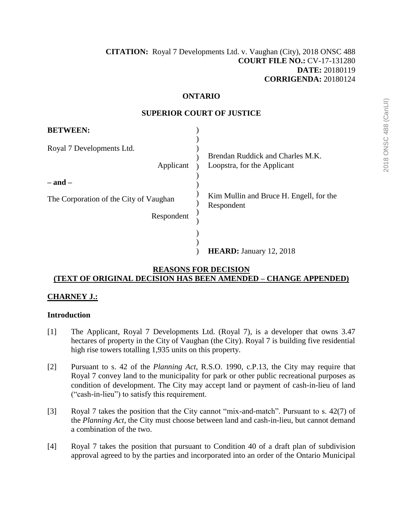#### **ONTARIO**

| <b>BETWEEN:</b>                                      |                                                                 |
|------------------------------------------------------|-----------------------------------------------------------------|
| Royal 7 Developments Ltd.<br>Applicant<br>– and –    | Brendan Ruddick and Charles M.K.<br>Loopstra, for the Applicant |
| The Corporation of the City of Vaughan<br>Respondent | Kim Mullin and Bruce H. Engell, for the<br>Respondent           |
|                                                      | <b>HEARD:</b> January 12, 2018                                  |

#### **SUPERIOR COURT OF JUSTICE**

#### **REASONS FOR DECISION (TEXT OF ORIGINAL DECISION HAS BEEN AMENDED – CHANGE APPENDED)**

#### **CHARNEY J.:**

#### **Introduction**

- [1] The Applicant, Royal 7 Developments Ltd. (Royal 7), is a developer that owns 3.47 hectares of property in the City of Vaughan (the City). Royal 7 is building five residential high rise towers totalling 1,935 units on this property.
- [2] Pursuant to s. 42 of the *Planning Act*, R.S.O. 1990, c.P.13, the City may require that Royal 7 convey land to the municipality for park or other public recreational purposes as condition of development. The City may accept land or payment of cash-in-lieu of land ("cash-in-lieu") to satisfy this requirement.
- [3] Royal 7 takes the position that the City cannot "mix-and-match". Pursuant to s. 42(7) of the *Planning Act*, the City must choose between land and cash-in-lieu, but cannot demand a combination of the two.
- [4] Royal 7 takes the position that pursuant to Condition 40 of a draft plan of subdivision approval agreed to by the parties and incorporated into an order of the Ontario Municipal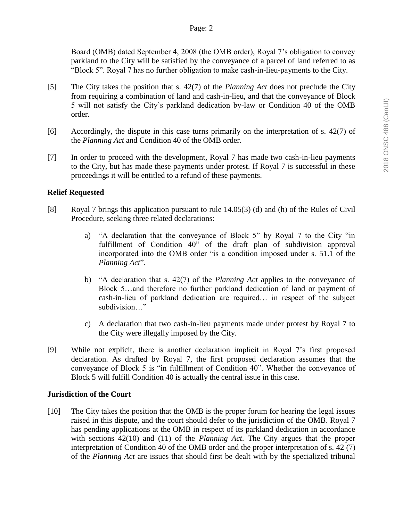Board (OMB) dated September 4, 2008 (the OMB order), Royal 7's obligation to convey parkland to the City will be satisfied by the conveyance of a parcel of land referred to as "Block 5". Royal 7 has no further obligation to make cash-in-lieu-payments to the City.

- [5] The City takes the position that s. 42(7) of the *Planning Act* does not preclude the City from requiring a combination of land and cash-in-lieu, and that the conveyance of Block 5 will not satisfy the City's parkland dedication by-law or Condition 40 of the OMB order.
- [6] Accordingly, the dispute in this case turns primarily on the interpretation of s. 42(7) of the *Planning Act* and Condition 40 of the OMB order.
- [7] In order to proceed with the development, Royal 7 has made two cash-in-lieu payments to the City, but has made these payments under protest. If Royal 7 is successful in these proceedings it will be entitled to a refund of these payments.

# **Relief Requested**

- [8] Royal 7 brings this application pursuant to rule 14.05(3) (d) and (h) of the Rules of Civil Procedure, seeking three related declarations:
	- a) "A declaration that the conveyance of Block 5" by Royal 7 to the City "in fulfillment of Condition 40" of the draft plan of subdivision approval incorporated into the OMB order "is a condition imposed under s. 51.1 of the *Planning Act*".
	- b) "A declaration that s. 42(7) of the *Planning Act* applies to the conveyance of Block 5…and therefore no further parkland dedication of land or payment of cash-in-lieu of parkland dedication are required… in respect of the subject subdivision…"
	- c) A declaration that two cash-in-lieu payments made under protest by Royal 7 to the City were illegally imposed by the City.
- [9] While not explicit, there is another declaration implicit in Royal 7's first proposed declaration. As drafted by Royal 7, the first proposed declaration assumes that the conveyance of Block 5 is "in fulfillment of Condition 40". Whether the conveyance of Block 5 will fulfill Condition 40 is actually the central issue in this case.

#### **Jurisdiction of the Court**

[10] The City takes the position that the OMB is the proper forum for hearing the legal issues raised in this dispute, and the court should defer to the jurisdiction of the OMB. Royal 7 has pending applications at the OMB in respect of its parkland dedication in accordance with sections 42(10) and (11) of the *Planning Act*. The City argues that the proper interpretation of Condition 40 of the OMB order and the proper interpretation of s. 42 (7) of the *Planning Act* are issues that should first be dealt with by the specialized tribunal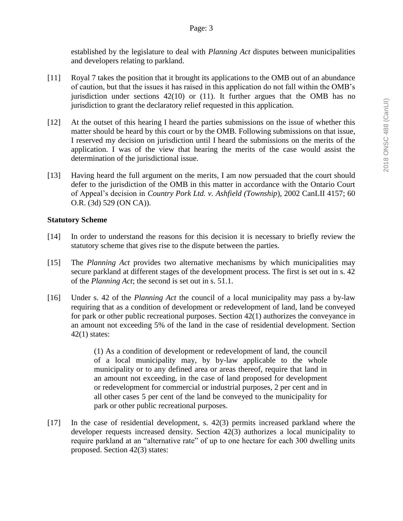established by the legislature to deal with *Planning Act* disputes between municipalities and developers relating to parkland.

- [11] Royal 7 takes the position that it brought its applications to the OMB out of an abundance of caution, but that the issues it has raised in this application do not fall within the OMB's jurisdiction under sections  $42(10)$  or  $(11)$ . It further argues that the OMB has no jurisdiction to grant the declaratory relief requested in this application.
- [12] At the outset of this hearing I heard the parties submissions on the issue of whether this matter should be heard by this court or by the OMB. Following submissions on that issue, I reserved my decision on jurisdiction until I heard the submissions on the merits of the application. I was of the view that hearing the merits of the case would assist the determination of the jurisdictional issue.
- [13] Having heard the full argument on the merits, I am now persuaded that the court should defer to the jurisdiction of the OMB in this matter in accordance with the Ontario Court of Appeal's decision in *Country Pork Ltd. v. Ashfield (Township*), 2002 CanLII 4157; 60 O.R. (3d) 529 (ON CA)).

# **Statutory Scheme**

- [14] In order to understand the reasons for this decision it is necessary to briefly review the statutory scheme that gives rise to the dispute between the parties.
- [15] The *Planning Act* provides two alternative mechanisms by which municipalities may secure parkland at different stages of the development process. The first is set out in s. 42 of the *Planning Act*; the second is set out in s. 51.1.
- [16] Under s. 42 of the *Planning Act* the council of a local municipality may pass a by-law requiring that as a condition of development or redevelopment of land, land be conveyed for park or other public recreational purposes. Section 42(1) authorizes the conveyance in an amount not exceeding 5% of the land in the case of residential development. Section  $42(1)$  states:

(1) As a condition of development or redevelopment of land, the council of a local municipality may, by by-law applicable to the whole municipality or to any defined area or areas thereof, require that land in an amount not exceeding, in the case of land proposed for development or redevelopment for commercial or industrial purposes, 2 per cent and in all other cases 5 per cent of the land be conveyed to the municipality for park or other public recreational purposes.

[17] In the case of residential development, s. 42(3) permits increased parkland where the developer requests increased density. Section 42(3) authorizes a local municipality to require parkland at an "alternative rate" of up to one hectare for each 300 dwelling units proposed. Section 42(3) states: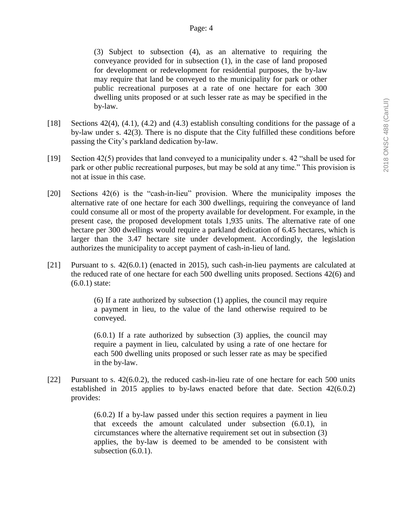(3) Subject to subsection (4), as an alternative to requiring the conveyance provided for in subsection (1), in the case of land proposed for development or redevelopment for residential purposes, the by-law may require that land be conveyed to the municipality for park or other public recreational purposes at a rate of one hectare for each 300 dwelling units proposed or at such lesser rate as may be specified in the by-law.

- [18] Sections 42(4), (4.1), (4.2) and (4.3) establish consulting conditions for the passage of a by-law under s. 42(3). There is no dispute that the City fulfilled these conditions before passing the City's parkland dedication by-law.
- [19] Section 42(5) provides that land conveyed to a municipality under s. 42 "shall be used for park or other public recreational purposes, but may be sold at any time." This provision is not at issue in this case.
- [20] Sections 42(6) is the "cash-in-lieu" provision. Where the municipality imposes the alternative rate of one hectare for each 300 dwellings, requiring the conveyance of land could consume all or most of the property available for development. For example, in the present case, the proposed development totals 1,935 units. The alternative rate of one hectare per 300 dwellings would require a parkland dedication of 6.45 hectares, which is larger than the 3.47 hectare site under development. Accordingly, the legislation authorizes the municipality to accept payment of cash-in-lieu of land.
- [21] Pursuant to s. 42(6.0.1) (enacted in 2015), such cash-in-lieu payments are calculated at the reduced rate of one hectare for each 500 dwelling units proposed. Sections 42(6) and (6.0.1) state:

(6) If a rate authorized by subsection (1) applies, the council may require a payment in lieu, to the value of the land otherwise required to be conveyed.

(6.0.1) If a rate authorized by subsection (3) applies, the council may require a payment in lieu, calculated by using a rate of one hectare for each 500 dwelling units proposed or such lesser rate as may be specified in the by-law.

[22] Pursuant to s. 42(6.0.2), the reduced cash-in-lieu rate of one hectare for each 500 units established in 2015 applies to by-laws enacted before that date. Section 42(6.0.2) provides:

> (6.0.2) If a by-law passed under this section requires a payment in lieu that exceeds the amount calculated under subsection (6.0.1), in circumstances where the alternative requirement set out in subsection (3) applies, the by-law is deemed to be amended to be consistent with subsection  $(6.0.1)$ .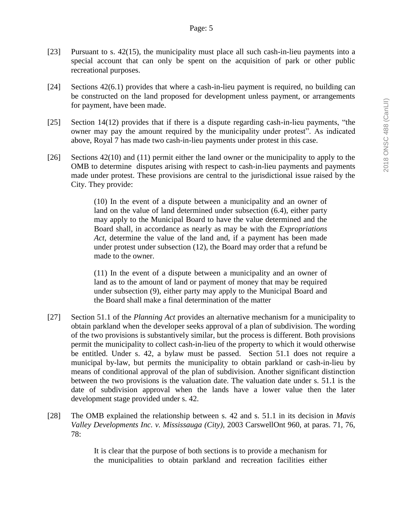- [23] Pursuant to s. 42(15), the municipality must place all such cash-in-lieu payments into a special account that can only be spent on the acquisition of park or other public recreational purposes.
- [24] Sections 42(6.1) provides that where a cash-in-lieu payment is required, no building can be constructed on the land proposed for development unless payment, or arrangements for payment, have been made.
- [25] Section 14(12) provides that if there is a dispute regarding cash-in-lieu payments, "the owner may pay the amount required by the municipality under protest". As indicated above, Royal 7 has made two cash-in-lieu payments under protest in this case.
- [26] Sections 42(10) and (11) permit either the land owner or the municipality to apply to the OMB to determine disputes arising with respect to cash-in-lieu payments and payments made under protest. These provisions are central to the jurisdictional issue raised by the City. They provide:

(10) In the event of a dispute between a municipality and an owner of land on the value of land determined under subsection (6.4), either party may apply to the Municipal Board to have the value determined and the Board shall, in accordance as nearly as may be with the *Expropriations Act*, determine the value of the land and, if a payment has been made under protest under subsection (12), the Board may order that a refund be made to the owner.

(11) In the event of a dispute between a municipality and an owner of land as to the amount of land or payment of money that may be required under subsection (9), either party may apply to the Municipal Board and the Board shall make a final determination of the matter

- [27] Section 51.1 of the *Planning Act* provides an alternative mechanism for a municipality to obtain parkland when the developer seeks approval of a plan of subdivision. The wording of the two provisions is substantively similar, but the process is different. Both provisions permit the municipality to collect cash-in-lieu of the property to which it would otherwise be entitled. Under s. 42, a bylaw must be passed. Section 51.1 does not require a municipal by-law, but permits the municipality to obtain parkland or cash-in-lieu by means of conditional approval of the plan of subdivision. Another significant distinction between the two provisions is the valuation date. The valuation date under s. 51.1 is the date of subdivision approval when the lands have a lower value then the later development stage provided under s. 42.
- [28] The OMB explained the relationship between s. 42 and s. 51.1 in its decision in *Mavis Valley Developments Inc. v. Mississauga (City)*, 2003 CarswellOnt 960, at paras. 71, 76, 78:

It is clear that the purpose of both sections is to provide a mechanism for the municipalities to obtain parkland and recreation facilities either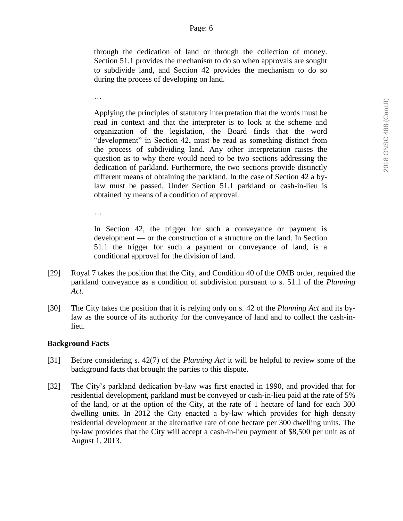through the dedication of land or through the collection of money. Section 51.1 provides the mechanism to do so when approvals are sought to subdivide land, and Section 42 provides the mechanism to do so during the process of developing on land.

…

Applying the principles of statutory interpretation that the words must be read in context and that the interpreter is to look at the scheme and organization of the legislation, the Board finds that the word "development" in Section 42, must be read as something distinct from the process of subdividing land. Any other interpretation raises the question as to why there would need to be two sections addressing the dedication of parkland. Furthermore, the two sections provide distinctly different means of obtaining the parkland. In the case of Section 42 a bylaw must be passed. Under Section 51.1 parkland or cash-in-lieu is obtained by means of a condition of approval.

…

In Section 42, the trigger for such a conveyance or payment is development — or the construction of a structure on the land. In Section 51.1 the trigger for such a payment or conveyance of land, is a conditional approval for the division of land.

- [29] Royal 7 takes the position that the City, and Condition 40 of the OMB order, required the parkland conveyance as a condition of subdivision pursuant to s. 51.1 of the *Planning Act*.
- [30] The City takes the position that it is relying only on s. 42 of the *Planning Act* and its bylaw as the source of its authority for the conveyance of land and to collect the cash-inlieu.

#### **Background Facts**

- [31] Before considering s. 42(7) of the *Planning Act* it will be helpful to review some of the background facts that brought the parties to this dispute.
- [32] The City's parkland dedication by-law was first enacted in 1990, and provided that for residential development, parkland must be conveyed or cash-in-lieu paid at the rate of 5% of the land, or at the option of the City, at the rate of 1 hectare of land for each 300 dwelling units. In 2012 the City enacted a by-law which provides for high density residential development at the alternative rate of one hectare per 300 dwelling units. The by-law provides that the City will accept a cash-in-lieu payment of \$8,500 per unit as of August 1, 2013.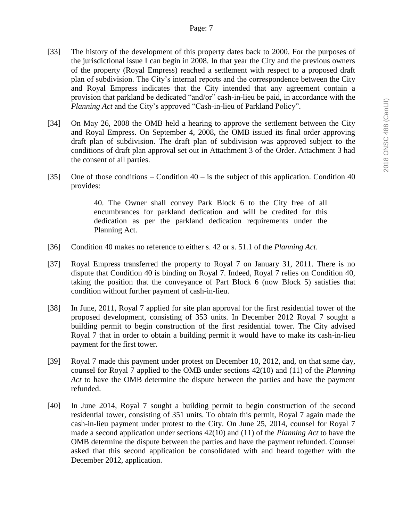- [33] The history of the development of this property dates back to 2000. For the purposes of the jurisdictional issue I can begin in 2008. In that year the City and the previous owners of the property (Royal Empress) reached a settlement with respect to a proposed draft plan of subdivision. The City's internal reports and the correspondence between the City and Royal Empress indicates that the City intended that any agreement contain a provision that parkland be dedicated "and/or" cash-in-lieu be paid, in accordance with the *Planning Act* and the City's approved "Cash-in-lieu of Parkland Policy".
- [34] On May 26, 2008 the OMB held a hearing to approve the settlement between the City and Royal Empress. On September 4, 2008, the OMB issued its final order approving draft plan of subdivision. The draft plan of subdivision was approved subject to the conditions of draft plan approval set out in Attachment 3 of the Order. Attachment 3 had the consent of all parties.
- [35] One of those conditions Condition  $40 is$  the subject of this application. Condition  $40$ provides:

40. The Owner shall convey Park Block 6 to the City free of all encumbrances for parkland dedication and will be credited for this dedication as per the parkland dedication requirements under the Planning Act.

- [36] Condition 40 makes no reference to either s. 42 or s. 51.1 of the *Planning Act*.
- [37] Royal Empress transferred the property to Royal 7 on January 31, 2011. There is no dispute that Condition 40 is binding on Royal 7. Indeed, Royal 7 relies on Condition 40, taking the position that the conveyance of Part Block 6 (now Block 5) satisfies that condition without further payment of cash-in-lieu.
- [38] In June, 2011, Royal 7 applied for site plan approval for the first residential tower of the proposed development, consisting of 353 units. In December 2012 Royal 7 sought a building permit to begin construction of the first residential tower. The City advised Royal 7 that in order to obtain a building permit it would have to make its cash-in-lieu payment for the first tower.
- [39] Royal 7 made this payment under protest on December 10, 2012, and, on that same day, counsel for Royal 7 applied to the OMB under sections 42(10) and (11) of the *Planning Act* to have the OMB determine the dispute between the parties and have the payment refunded.
- [40] In June 2014, Royal 7 sought a building permit to begin construction of the second residential tower, consisting of 351 units. To obtain this permit, Royal 7 again made the cash-in-lieu payment under protest to the City. On June 25, 2014, counsel for Royal 7 made a second application under sections 42(10) and (11) of the *Planning Act* to have the OMB determine the dispute between the parties and have the payment refunded. Counsel asked that this second application be consolidated with and heard together with the December 2012, application.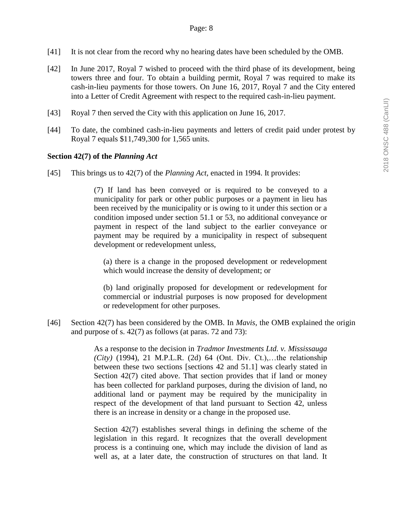- [41] It is not clear from the record why no hearing dates have been scheduled by the OMB.
- [42] In June 2017, Royal 7 wished to proceed with the third phase of its development, being towers three and four. To obtain a building permit, Royal 7 was required to make its cash-in-lieu payments for those towers. On June 16, 2017, Royal 7 and the City entered into a Letter of Credit Agreement with respect to the required cash-in-lieu payment.
- [43] Royal 7 then served the City with this application on June 16, 2017.
- [44] To date, the combined cash-in-lieu payments and letters of credit paid under protest by Royal 7 equals \$11,749,300 for 1,565 units.

#### **Section 42(7) of the** *Planning Act*

[45] This brings us to 42(7) of the *Planning Act*, enacted in 1994. It provides:

(7) If land has been conveyed or is required to be conveyed to a municipality for park or other public purposes or a payment in lieu has been received by the municipality or is owing to it under this section or a condition imposed under section 51.1 or 53, no additional conveyance or payment in respect of the land subject to the earlier conveyance or payment may be required by a municipality in respect of subsequent development or redevelopment unless,

(a) there is a change in the proposed development or redevelopment which would increase the density of development; or

(b) land originally proposed for development or redevelopment for commercial or industrial purposes is now proposed for development or redevelopment for other purposes.

[46] Section 42(7) has been considered by the OMB. In *Mavis*, the OMB explained the origin and purpose of s. 42(7) as follows (at paras. 72 and 73):

> As a response to the decision in *Tradmor Investments Ltd. v. Mississauga (City)* [\(1994\), 21 M.P.L.R. \(2d\) 64](http://nextcanada.westlaw.com/Link/Document/FullText?findType=Y&pubNum=6407&serNum=1994408618&originationContext=document&transitionType=DocumentItem&vr=3.0&rs=cblt1.0&contextData=(sc.UserEnteredCitation)) (Ont. Div. Ct.),…the relationship between these two sections [sections 42 and 51.1] was clearly stated in Section 42(7) cited above. That section provides that if land or money has been collected for parkland purposes, during the division of land, no additional land or payment may be required by the municipality in respect of the development of that land pursuant to Section 42, unless there is an increase in density or a change in the proposed use.

> Section 42(7) establishes several things in defining the scheme of the legislation in this regard. It recognizes that the overall development process is a continuing one, which may include the division of land as well as, at a later date, the construction of structures on that land. It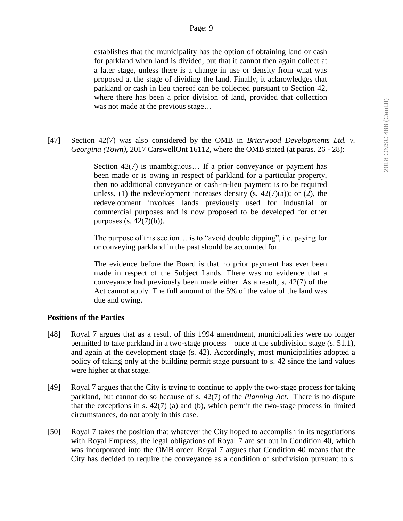establishes that the municipality has the option of obtaining land or cash for parkland when land is divided, but that it cannot then again collect at a later stage, unless there is a change in use or density from what was proposed at the stage of dividing the land. Finally, it acknowledges that parkland or cash in lieu thereof can be collected pursuant to Section 42, where there has been a prior division of land, provided that collection was not made at the previous stage…

[47] Section 42(7) was also considered by the OMB in *Briarwood Developments Ltd. v. Georgina (Town),* 2017 CarswellOnt 16112, where the OMB stated (at paras. 26 - 28):

> Section 42(7) is unambiguous... If a prior conveyance or payment has been made or is owing in respect of parkland for a particular property, then no additional conveyance or cash-in-lieu payment is to be required unless, (1) the redevelopment increases density (s.  $42(7)(a)$ ); or (2), the redevelopment involves lands previously used for industrial or commercial purposes and is now proposed to be developed for other purposes  $(s. 42(7)(b))$ .

> The purpose of this section… is to "avoid double dipping", i.e. paying for or conveying parkland in the past should be accounted for.

> The evidence before the Board is that no prior payment has ever been made in respect of the Subject Lands. There was no evidence that a conveyance had previously been made either. As a result, s. 42(7) of the Act cannot apply. The full amount of the 5% of the value of the land was due and owing.

#### **Positions of the Parties**

- [48] Royal 7 argues that as a result of this 1994 amendment, municipalities were no longer permitted to take parkland in a two-stage process – once at the subdivision stage (s. 51.1), and again at the development stage (s. 42). Accordingly, most municipalities adopted a policy of taking only at the building permit stage pursuant to s. 42 since the land values were higher at that stage.
- [49] Royal 7 argues that the City is trying to continue to apply the two-stage process for taking parkland, but cannot do so because of s. 42(7) of the *Planning Act*. There is no dispute that the exceptions in s.  $42(7)$  (a) and (b), which permit the two-stage process in limited circumstances, do not apply in this case.
- [50] Royal 7 takes the position that whatever the City hoped to accomplish in its negotiations with Royal Empress, the legal obligations of Royal 7 are set out in Condition 40, which was incorporated into the OMB order. Royal 7 argues that Condition 40 means that the City has decided to require the conveyance as a condition of subdivision pursuant to s.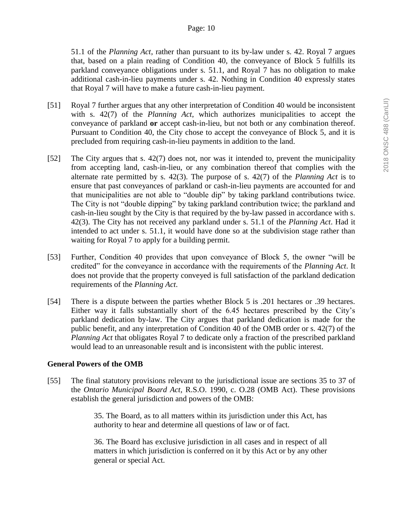51.1 of the *Planning Act*, rather than pursuant to its by-law under s. 42. Royal 7 argues that, based on a plain reading of Condition 40, the conveyance of Block 5 fulfills its parkland conveyance obligations under s. 51.1, and Royal 7 has no obligation to make additional cash-in-lieu payments under s. 42. Nothing in Condition 40 expressly states that Royal 7 will have to make a future cash-in-lieu payment.

- [51] Royal 7 further argues that any other interpretation of Condition 40 would be inconsistent with s. 42(7) of the *Planning Act*, which authorizes municipalities to accept the conveyance of parkland **or** accept cash-in-lieu, but not both or any combination thereof. Pursuant to Condition 40, the City chose to accept the conveyance of Block 5, and it is precluded from requiring cash-in-lieu payments in addition to the land.
- [52] The City argues that s. 42(7) does not, nor was it intended to, prevent the municipality from accepting land, cash-in-lieu, or any combination thereof that complies with the alternate rate permitted by s. 42(3). The purpose of s. 42(7) of the *Planning Act* is to ensure that past conveyances of parkland or cash-in-lieu payments are accounted for and that municipalities are not able to "double dip" by taking parkland contributions twice. The City is not "double dipping" by taking parkland contribution twice; the parkland and cash-in-lieu sought by the City is that required by the by-law passed in accordance with s. 42(3). The City has not received any parkland under s. 51.1 of the *Planning Act*. Had it intended to act under s. 51.1, it would have done so at the subdivision stage rather than waiting for Royal 7 to apply for a building permit.
- [53] Further, Condition 40 provides that upon conveyance of Block 5, the owner "will be credited" for the conveyance in accordance with the requirements of the *Planning Act*. It does not provide that the property conveyed is full satisfaction of the parkland dedication requirements of the *Planning Act*.
- [54] There is a dispute between the parties whether Block 5 is .201 hectares or .39 hectares. Either way it falls substantially short of the 6.45 hectares prescribed by the City's parkland dedication by-law. The City argues that parkland dedication is made for the public benefit, and any interpretation of Condition 40 of the OMB order or s. 42(7) of the *Planning Act* that obligates Royal 7 to dedicate only a fraction of the prescribed parkland would lead to an unreasonable result and is inconsistent with the public interest.

# **General Powers of the OMB**

[55] The final statutory provisions relevant to the jurisdictional issue are sections 35 to 37 of the *Ontario Municipal Board Act*, R.S.O. 1990, c. O.28 (OMB Act). These provisions establish the general jurisdiction and powers of the OMB:

> 35. The Board, as to all matters within its jurisdiction under this Act, has authority to hear and determine all questions of law or of fact.

> 36. The Board has exclusive jurisdiction in all cases and in respect of all matters in which jurisdiction is conferred on it by this Act or by any other general or special Act.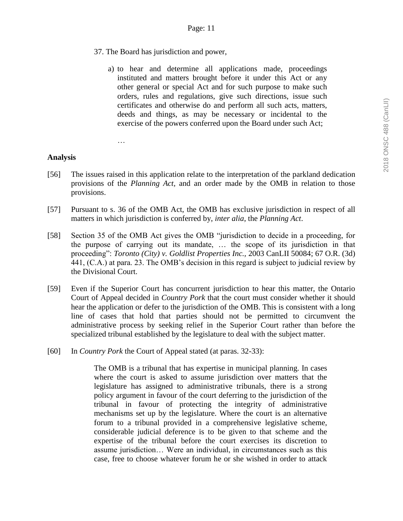- 37. The Board has jurisdiction and power,
	- a) to hear and determine all applications made, proceedings instituted and matters brought before it under this Act or any other general or special Act and for such purpose to make such orders, rules and regulations, give such directions, issue such certificates and otherwise do and perform all such acts, matters, deeds and things, as may be necessary or incidental to the exercise of the powers conferred upon the Board under such Act;

…

# **Analysis**

- [56] The issues raised in this application relate to the interpretation of the parkland dedication provisions of the *Planning Act,* and an order made by the OMB in relation to those provisions.
- [57] Pursuant to s. 36 of the OMB Act, the OMB has exclusive jurisdiction in respect of all matters in which jurisdiction is conferred by, *inter alia*, the *Planning Act*.
- [58] Section 35 of the OMB Act gives the OMB "jurisdiction to decide in a proceeding, for the purpose of carrying out its mandate, … the scope of its jurisdiction in that proceeding": *Toronto (City) v. Goldlist Properties Inc.,* 2003 CanLII 50084; 67 O.R. (3d) 441, (C.A.) at para. 23. The OMB's decision in this regard is subject to judicial review by the Divisional Court.
- [59] Even if the Superior Court has concurrent jurisdiction to hear this matter, the Ontario Court of Appeal decided in *Country Pork* that the court must consider whether it should hear the application or defer to the jurisdiction of the OMB. This is consistent with a long line of cases that hold that parties should not be permitted to circumvent the administrative process by seeking relief in the Superior Court rather than before the specialized tribunal established by the legislature to deal with the subject matter.
- [60] In *Country Pork* the Court of Appeal stated (at paras. 32-33):

The OMB is a tribunal that has expertise in municipal planning. In cases where the court is asked to assume jurisdiction over matters that the legislature has assigned to administrative tribunals, there is a strong policy argument in favour of the court deferring to the jurisdiction of the tribunal in favour of protecting the integrity of administrative mechanisms set up by the legislature. Where the court is an alternative forum to a tribunal provided in a comprehensive legislative scheme, considerable judicial deference is to be given to that scheme and the expertise of the tribunal before the court exercises its discretion to assume jurisdiction… Were an individual, in circumstances such as this case, free to choose whatever forum he or she wished in order to attack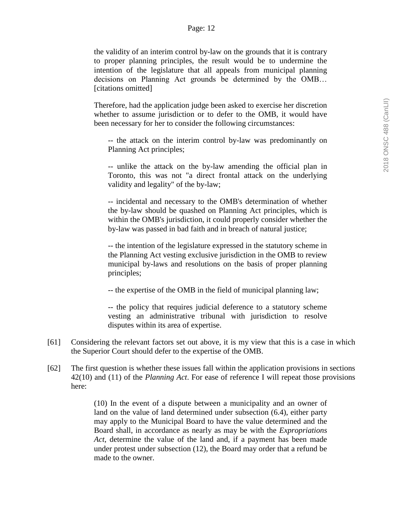the validity of an interim control by-law on the grounds that it is contrary to proper planning principles, the result would be to undermine the intention of the legislature that all appeals from municipal planning decisions on Planning Act grounds be determined by the OMB… [citations omitted]

Therefore, had the application judge been asked to exercise her discretion whether to assume jurisdiction or to defer to the OMB, it would have been necessary for her to consider the following circumstances:

-- the attack on the interim control by-law was predominantly on Planning Act principles;

-- unlike the attack on the by-law amending the official plan in Toronto, this was not "a direct frontal attack on the underlying validity and legality" of the by-law;

-- incidental and necessary to the OMB's determination of whether the by-law should be quashed on Planning Act principles, which is within the OMB's jurisdiction, it could properly consider whether the by-law was passed in bad faith and in breach of natural justice;

-- the intention of the legislature expressed in the statutory scheme in the Planning Act vesting exclusive jurisdiction in the OMB to review municipal by-laws and resolutions on the basis of proper planning principles;

-- the expertise of the OMB in the field of municipal planning law;

-- the policy that requires judicial deference to a statutory scheme vesting an administrative tribunal with jurisdiction to resolve disputes within its area of expertise.

- [61] Considering the relevant factors set out above, it is my view that this is a case in which the Superior Court should defer to the expertise of the OMB.
- [62] The first question is whether these issues fall within the application provisions in sections 42(10) and (11) of the *Planning Act*. For ease of reference I will repeat those provisions here:

(10) In the event of a dispute between a municipality and an owner of land on the value of land determined under subsection (6.4), either party may apply to the Municipal Board to have the value determined and the Board shall, in accordance as nearly as may be with the *Expropriations Act*, determine the value of the land and, if a payment has been made under protest under subsection (12), the Board may order that a refund be made to the owner.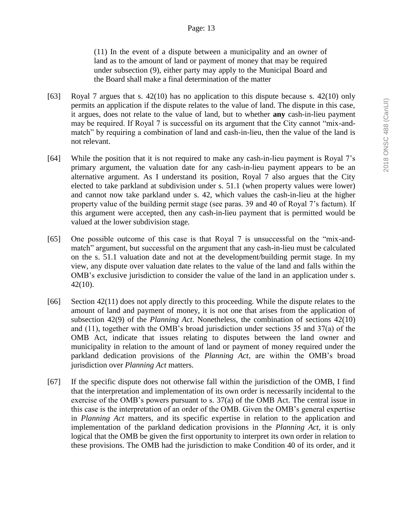(11) In the event of a dispute between a municipality and an owner of land as to the amount of land or payment of money that may be required under subsection (9), either party may apply to the Municipal Board and the Board shall make a final determination of the matter

- [63] Royal 7 argues that s. 42(10) has no application to this dispute because s. 42(10) only permits an application if the dispute relates to the value of land. The dispute in this case, it argues, does not relate to the value of land, but to whether **any** cash-in-lieu payment may be required. If Royal 7 is successful on its argument that the City cannot "mix-andmatch" by requiring a combination of land and cash-in-lieu, then the value of the land is not relevant.
- [64] While the position that it is not required to make any cash-in-lieu payment is Royal 7's primary argument, the valuation date for any cash-in-lieu payment appears to be an alternative argument. As I understand its position, Royal 7 also argues that the City elected to take parkland at subdivision under s. 51.1 (when property values were lower) and cannot now take parkland under s. 42, which values the cash-in-lieu at the higher property value of the building permit stage (see paras. 39 and 40 of Royal 7's factum). If this argument were accepted, then any cash-in-lieu payment that is permitted would be valued at the lower subdivision stage.
- [65] One possible outcome of this case is that Royal 7 is unsuccessful on the "mix-andmatch" argument, but successful on the argument that any cash-in-lieu must be calculated on the s. 51.1 valuation date and not at the development/building permit stage. In my view, any dispute over valuation date relates to the value of the land and falls within the OMB's exclusive jurisdiction to consider the value of the land in an application under s. 42(10).
- [66] Section 42(11) does not apply directly to this proceeding. While the dispute relates to the amount of land and payment of money, it is not one that arises from the application of subsection 42(9) of the *Planning Act*. Nonetheless, the combination of sections 42(10) and (11), together with the OMB's broad jurisdiction under sections 35 and 37(a) of the OMB Act, indicate that issues relating to disputes between the land owner and municipality in relation to the amount of land or payment of money required under the parkland dedication provisions of the *Planning Act*, are within the OMB's broad jurisdiction over *Planning Act* matters.
- [67] If the specific dispute does not otherwise fall within the jurisdiction of the OMB, I find that the interpretation and implementation of its own order is necessarily incidental to the exercise of the OMB's powers pursuant to s. 37(a) of the OMB Act. The central issue in this case is the interpretation of an order of the OMB. Given the OMB's general expertise in *Planning Act* matters, and its specific expertise in relation to the application and implementation of the parkland dedication provisions in the *Planning Act*, it is only logical that the OMB be given the first opportunity to interpret its own order in relation to these provisions. The OMB had the jurisdiction to make Condition 40 of its order, and it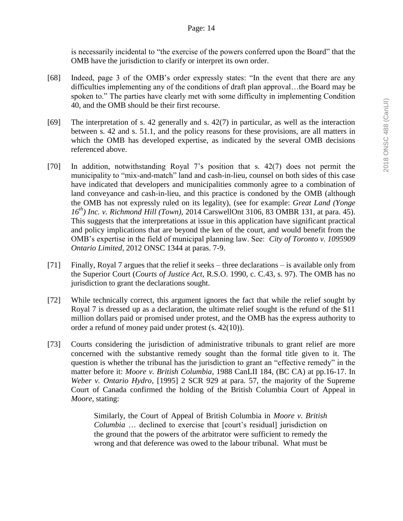is necessarily incidental to "the exercise of the powers conferred upon the Board" that the OMB have the jurisdiction to clarify or interpret its own order.

- [68] Indeed, page 3 of the OMB's order expressly states: "In the event that there are any difficulties implementing any of the conditions of draft plan approval…the Board may be spoken to." The parties have clearly met with some difficulty in implementing Condition 40, and the OMB should be their first recourse.
- [69] The interpretation of s. 42 generally and s. 42(7) in particular, as well as the interaction between s. 42 and s. 51.1, and the policy reasons for these provisions, are all matters in which the OMB has developed expertise, as indicated by the several OMB decisions referenced above.
- [70] In addition, notwithstanding Royal 7's position that s. 42(7) does not permit the municipality to "mix-and-match" land and cash-in-lieu, counsel on both sides of this case have indicated that developers and municipalities commonly agree to a combination of land conveyance and cash-in-lieu, and this practice is condoned by the OMB (although the OMB has not expressly ruled on its legality), (see for example: *Great Land (Yonge 16th) Inc. v. Richmond Hill (Town),* 2014 CarswellOnt 3106, 83 OMBR 131, at para. 45). This suggests that the interpretations at issue in this application have significant practical and policy implications that are beyond the ken of the court, and would benefit from the OMB's expertise in the field of municipal planning law. See: *City of Toronto v. 1095909 Ontario Limited*, 2012 ONSC 1344 at paras. 7-9.
- [71] Finally, Royal 7 argues that the relief it seeks three declarations is available only from the Superior Court (*Courts of Justice Act*, R.S.O. 1990, c. C.43, s. 97). The OMB has no jurisdiction to grant the declarations sought.
- [72] While technically correct, this argument ignores the fact that while the relief sought by Royal 7 is dressed up as a declaration, the ultimate relief sought is the refund of the \$11 million dollars paid or promised under protest, and the OMB has the express authority to order a refund of money paid under protest (s. 42(10)).
- [73] Courts considering the jurisdiction of administrative tribunals to grant relief are more concerned with the substantive remedy sought than the formal title given to it. The question is whether the tribunal has the jurisdiction to grant an "effective remedy" in the matter before it: *Moore v. British Columbia*, 1988 CanLII 184, (BC CA) at pp.16-17. In *Weber v. Ontario Hydro*, [1995] 2 SCR 929 at para. 57, the majority of the Supreme Court of Canada confirmed the holding of the British Columbia Court of Appeal in *Moore*, stating:

Similarly, the Court of Appeal of British Columbia in *Moore v. British Columbia* … declined to exercise that [court's residual] jurisdiction on the ground that the powers of the arbitrator were sufficient to remedy the wrong and that deference was owed to the labour tribunal. What must be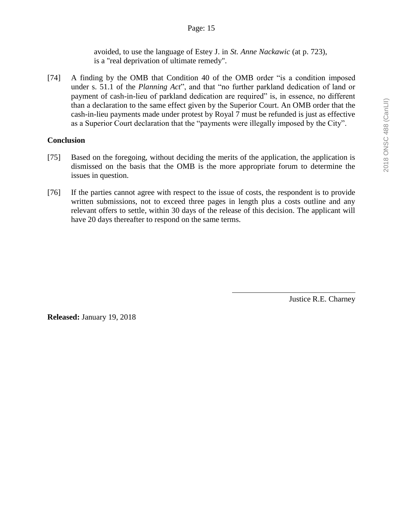avoided, to use the language of Estey J. in *St. Anne Nackawic* (at p. 723), is a "real deprivation of ultimate remedy".

[74] A finding by the OMB that Condition 40 of the OMB order "is a condition imposed under s. 51.1 of the *Planning Act*", and that "no further parkland dedication of land or payment of cash-in-lieu of parkland dedication are required" is, in essence, no different than a declaration to the same effect given by the Superior Court. An OMB order that the cash-in-lieu payments made under protest by Royal 7 must be refunded is just as effective as a Superior Court declaration that the "payments were illegally imposed by the City".

#### **Conclusion**

- [75] Based on the foregoing, without deciding the merits of the application, the application is dismissed on the basis that the OMB is the more appropriate forum to determine the issues in question.
- [76] If the parties cannot agree with respect to the issue of costs, the respondent is to provide written submissions, not to exceed three pages in length plus a costs outline and any relevant offers to settle, within 30 days of the release of this decision. The applicant will have 20 days thereafter to respond on the same terms.

Justice R.E. Charney

**Released:** January 19, 2018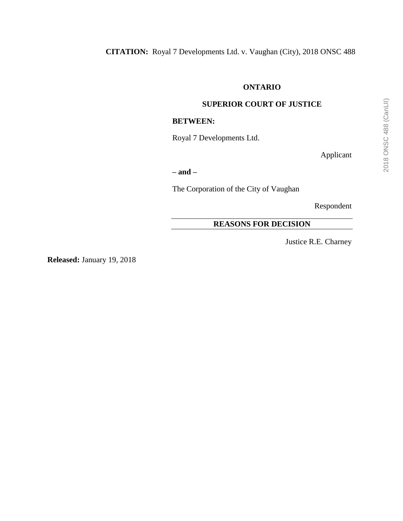# **ONTARIO**

# **SUPERIOR COURT OF JUSTICE**

#### **BETWEEN:**

Royal 7 Developments Ltd.

Applicant

**– and –**

The Corporation of the City of Vaughan

Respondent

# **REASONS FOR DECISION**

Justice R.E. Charney

**Released:** January 19, 2018